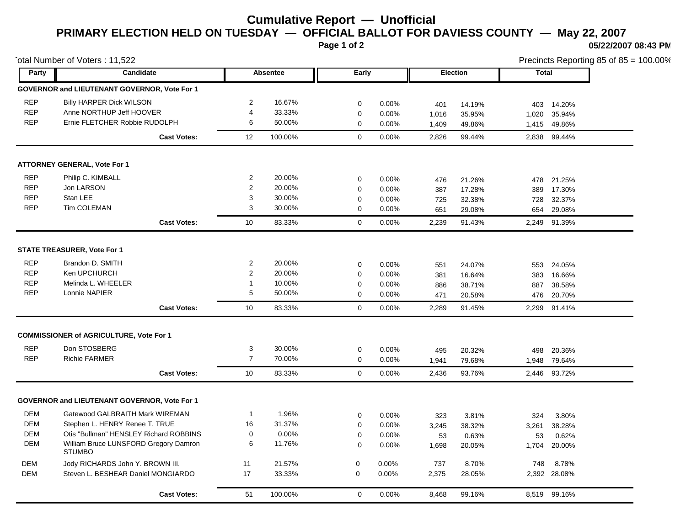## **Cumulative Report — Unofficial PRIMARY ELECTION HELD ON TUESDAY — OFFICIAL BALLOT FOR DAVIESS COUNTY — May 22, 2007**

**Page 1 of 2**

**05/22/2007 08:43 PM**

| otal Number of Voters: 11,522 |                                                        |  |                         |         |             | Precincts Reporting 85 of 85 = 100.00% |            |                  |              |                      |  |  |
|-------------------------------|--------------------------------------------------------|--|-------------------------|---------|-------------|----------------------------------------|------------|------------------|--------------|----------------------|--|--|
| Party                         | Candidate                                              |  | Absentee                |         |             | Early                                  |            | <b>Election</b>  | <b>Total</b> |                      |  |  |
|                               | GOVERNOR and LIEUTENANT GOVERNOR, Vote For 1           |  |                         |         |             |                                        |            |                  |              |                      |  |  |
| <b>REP</b>                    | <b>Billy HARPER Dick WILSON</b>                        |  | $\overline{2}$          | 16.67%  | 0           | 0.00%                                  | 401        | 14.19%           |              | 403 14.20%           |  |  |
| <b>REP</b>                    | Anne NORTHUP Jeff HOOVER                               |  | 4                       | 33.33%  | $\mathbf 0$ | 0.00%                                  | 1,016      | 35.95%           | 1,020        | 35.94%               |  |  |
| <b>REP</b>                    | Ernie FLETCHER Robbie RUDOLPH                          |  | 6                       | 50.00%  | $\Omega$    | 0.00%                                  | 1,409      | 49.86%           |              | 1,415 49.86%         |  |  |
|                               | <b>Cast Votes:</b>                                     |  | 12                      | 100.00% | $\mathbf 0$ | 0.00%                                  | 2,826      | 99.44%           |              | 2,838 99.44%         |  |  |
|                               | <b>ATTORNEY GENERAL, Vote For 1</b>                    |  |                         |         |             |                                        |            |                  |              |                      |  |  |
| <b>REP</b>                    | Philip C. KIMBALL                                      |  | $\overline{2}$          | 20.00%  | 0           | 0.00%                                  | 476        | 21.26%           | 478          | 21.25%               |  |  |
| <b>REP</b>                    | Jon LARSON                                             |  | $\overline{\mathbf{c}}$ | 20.00%  | 0           | 0.00%                                  | 387        | 17.28%           | 389          | 17.30%               |  |  |
| <b>REP</b>                    | Stan LEE                                               |  | 3                       | 30.00%  | 0           | 0.00%                                  | 725        | 32.38%           | 728          | 32.37%               |  |  |
| <b>REP</b>                    | Tim COLEMAN                                            |  | 3                       | 30.00%  | 0           | 0.00%                                  | 651        | 29.08%           | 654          | 29.08%               |  |  |
|                               | <b>Cast Votes:</b>                                     |  | 10                      | 83.33%  | $\mathbf 0$ | 0.00%                                  | 2,239      | 91.43%           | 2,249        | 91.39%               |  |  |
|                               | STATE TREASURER, Vote For 1                            |  |                         |         |             |                                        |            |                  |              |                      |  |  |
| <b>REP</b>                    | Brandon D. SMITH                                       |  | $\overline{2}$          | 20.00%  | 0           | 0.00%                                  |            |                  |              |                      |  |  |
| <b>REP</b>                    | Ken UPCHURCH                                           |  | $\overline{c}$          | 20.00%  | 0           | 0.00%                                  | 551<br>381 | 24.07%<br>16.64% | 383          | 553 24.05%<br>16.66% |  |  |
| <b>REP</b>                    | Melinda L. WHEELER                                     |  | -1                      | 10.00%  | $\mathbf 0$ | 0.00%                                  | 886        | 38.71%           | 887          | 38.58%               |  |  |
| <b>REP</b>                    | Lonnie NAPIER                                          |  | 5                       | 50.00%  | $\mathbf 0$ | 0.00%                                  | 471        | 20.58%           | 476          | 20.70%               |  |  |
|                               | <b>Cast Votes:</b>                                     |  | 10                      | 83.33%  | $\mathbf 0$ | 0.00%                                  | 2,289      | 91.45%           | 2,299        | 91.41%               |  |  |
|                               |                                                        |  |                         |         |             |                                        |            |                  |              |                      |  |  |
|                               | <b>COMMISSIONER of AGRICULTURE, Vote For 1</b>         |  |                         |         |             |                                        |            |                  |              |                      |  |  |
| <b>REP</b>                    | Don STOSBERG                                           |  | 3                       | 30.00%  | $\mathbf 0$ | 0.00%                                  | 495        | 20.32%           | 498          | 20.36%               |  |  |
| <b>REP</b>                    | <b>Richie FARMER</b>                                   |  | $\overline{7}$          | 70.00%  | $\mathbf 0$ | 0.00%                                  | 1,941      | 79.68%           | 1,948        | 79.64%               |  |  |
|                               | <b>Cast Votes:</b>                                     |  | 10                      | 83.33%  | $\mathbf 0$ | 0.00%                                  | 2,436      | 93.76%           |              | 2,446 93.72%         |  |  |
|                               | GOVERNOR and LIEUTENANT GOVERNOR, Vote For 1           |  |                         |         |             |                                        |            |                  |              |                      |  |  |
| <b>DEM</b>                    | Gatewood GALBRAITH Mark WIREMAN                        |  | $\mathbf{1}$            | 1.96%   | $\mathbf 0$ | 0.00%                                  | 323        | 3.81%            | 324          | 3.80%                |  |  |
| <b>DEM</b>                    | Stephen L. HENRY Renee T. TRUE                         |  | 16                      | 31.37%  | $\mathbf 0$ | 0.00%                                  | 3,245      | 38.32%           | 3,261        | 38.28%               |  |  |
| <b>DEM</b>                    | Otis "Bullman" HENSLEY Richard ROBBINS                 |  | $\mathbf 0$             | 0.00%   | 0           | 0.00%                                  | 53         | 0.63%            | 53           | 0.62%                |  |  |
| <b>DEM</b>                    | William Bruce LUNSFORD Gregory Damron<br><b>STUMBO</b> |  | 6                       | 11.76%  | $\mathbf 0$ | 0.00%                                  | 1,698      | 20.05%           | 1,704        | 20.00%               |  |  |
| <b>DEM</b>                    | Jody RICHARDS John Y. BROWN III.                       |  | 11                      | 21.57%  | $\mathbf 0$ | 0.00%                                  | 737        | 8.70%            | 748          | 8.78%                |  |  |
| <b>DEM</b>                    | Steven L. BESHEAR Daniel MONGIARDO                     |  | 17                      | 33.33%  | $\mathbf 0$ | 0.00%                                  | 2,375      | 28.05%           |              | 2,392 28.08%         |  |  |
|                               | <b>Cast Votes:</b>                                     |  | 51                      | 100.00% | $\Omega$    | 0.00%                                  | 8,468      | 99.16%           |              | 8,519 99.16%         |  |  |